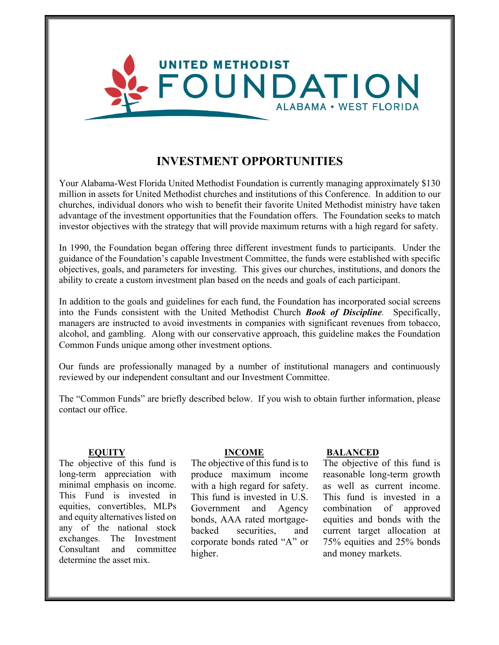

# **INVESTMENT OPPORTUNITIES**

 Your Alabama-West Florida United Methodist Foundation is currently managing approximately \$130 million in assets for United Methodist churches and institutions of this Conference. In addition to our churches, individual donors who wish to benefit their favorite United Methodist ministry have taken advantage of the investment opportunities that the Foundation offers. The Foundation seeks to match investor objectives with the strategy that will provide maximum returns with a high regard for safety.

 objectives, goals, and parameters for investing. This gives our churches, institutions, and donors the In 1990, the Foundation began offering three different investment funds to participants. Under the guidance of the Foundation's capable Investment Committee, the funds were established with specific ability to create a custom investment plan based on the needs and goals of each participant.

 into the Funds consistent with the United Methodist Church *Book of Discipline.* Specifically, managers are instructed to avoid investments in companies with significant revenues from tobacco, alcohol, and gambling. Along with our conservative approach, this guideline makes the Foundation In addition to the goals and guidelines for each fund, the Foundation has incorporated social screens Common Funds unique among other investment options.

 Our funds are professionally managed by a number of institutional managers and continuously reviewed by our independent consultant and our Investment Committee.

The "Common Funds" are briefly described below. If you wish to obtain further information, please contact our office.

### **EQUITY**

The objective of this fund is minimal emphasis on income. This Fund is invested in equities, convertibles, MLPs<br>and equity alternatives listed on<br>any of the national stock<br>exchanges. The Investment<br>Consultant and committee binds rated "A" or 75% equities and 25% bonds<br>determine the asset mix.<br>determine t

produce maximum income minimal emphasis on income. with a high regard for safety. as well as current income. This fund is invested in U.S. bonds, AAA rated mortgagecorporate bonds rated "A" or long-term appreciation with produce maximum income reasonable long-term growth This Fund is invested in This fund is invested in U.S. This fund is invested in a

### **EXPLORE BALANCED**

The objective of this fund is The objective of this fund is to The objective of this fund is The objective of this fund is as well as current income. equities and bonds with the current target allocation at<br>75% equities and 25% bonds